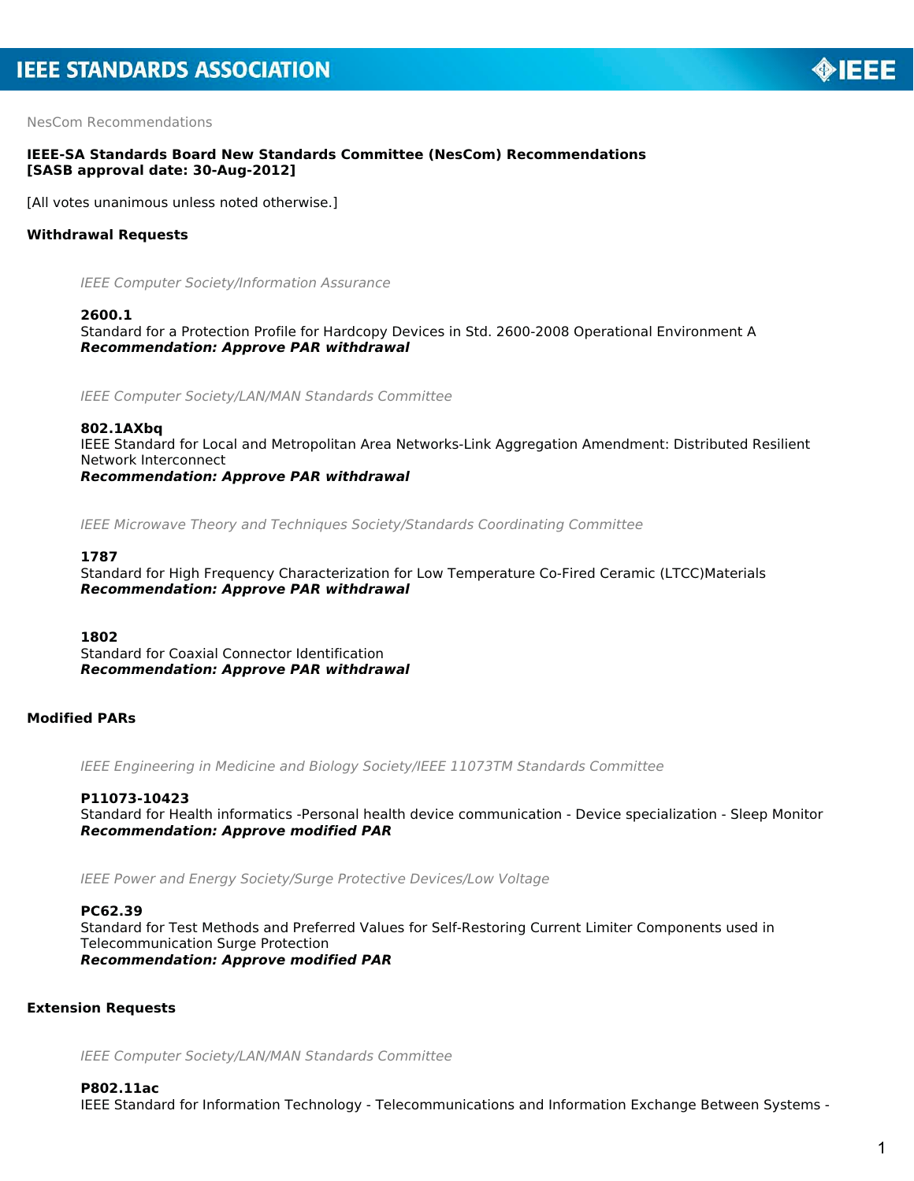

NesCom Recommendations

# **IEEE-SA Standards Board New Standards Committee (NesCom) Recommendations [SASB approval date: 30-Aug-2012]**

[All votes unanimous unless noted otherwise.]

# **Withdrawal Requests**

IEEE Computer Society/Information Assurance

#### **2600.1**

Standard for a Protection Profile for Hardcopy Devices in Std. 2600-2008 Operational Environment A *Recommendation: Approve PAR withdrawal*

IEEE Computer Society/LAN/MAN Standards Committee

#### **802.1AXbq**

IEEE Standard for Local and Metropolitan Area Networks-Link Aggregation Amendment: Distributed Resilient Network Interconnect *Recommendation: Approve PAR withdrawal*

IEEE Microwave Theory and Techniques Society/Standards Coordinating Committee

#### **1787**

Standard for High Frequency Characterization for Low Temperature Co-Fired Ceramic (LTCC)Materials *Recommendation: Approve PAR withdrawal*

#### **1802**

Standard for Coaxial Connector Identification *Recommendation: Approve PAR withdrawal*

### **Modified PARs**

IEEE Engineering in Medicine and Biology Society/IEEE 11073TM Standards Committee

#### **P11073-10423**

Standard for Health informatics -Personal health device communication - Device specialization - Sleep Monitor *Recommendation: Approve modified PAR*

IEEE Power and Energy Society/Surge Protective Devices/Low Voltage

#### **PC62.39**

Standard for Test Methods and Preferred Values for Self-Restoring Current Limiter Components used in Telecommunication Surge Protection *Recommendation: Approve modified PAR*

# **Extension Requests**

IEEE Computer Society/LAN/MAN Standards Committee

#### **P802.11ac**

IEEE Standard for Information Technology - Telecommunications and Information Exchange Between Systems -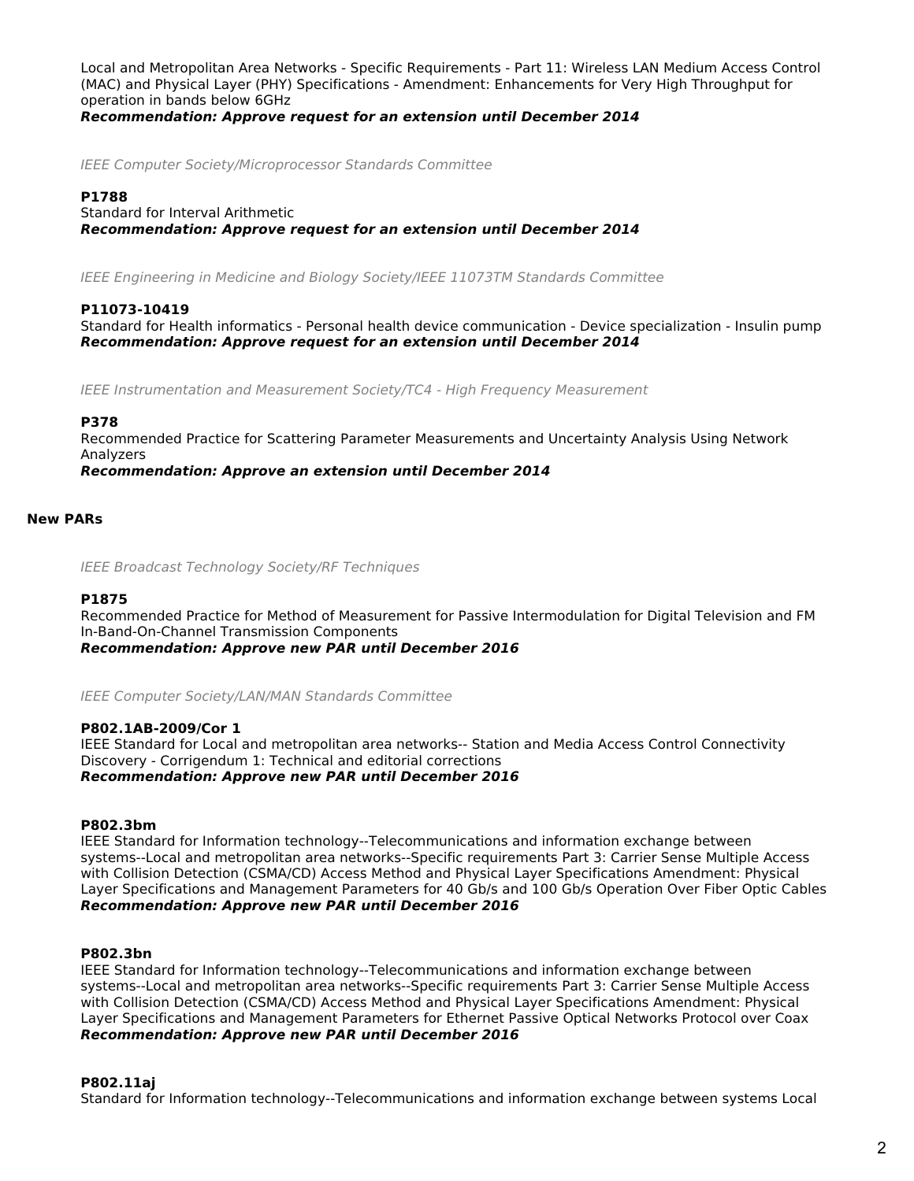Local and Metropolitan Area Networks - Specific Requirements - Part 11: Wireless LAN Medium Access Control (MAC) and Physical Layer (PHY) Specifications - Amendment: Enhancements for Very High Throughput for operation in bands below 6GHz

*Recommendation: Approve request for an extension until December 2014*

IEEE Computer Society/Microprocessor Standards Committee

### **P1788**

Standard for Interval Arithmetic

*Recommendation: Approve request for an extension until December 2014*

IEEE Engineering in Medicine and Biology Society/IEEE 11073TM Standards Committee

### **P11073-10419**

Standard for Health informatics - Personal health device communication - Device specialization - Insulin pump *Recommendation: Approve request for an extension until December 2014*

IEEE Instrumentation and Measurement Society/TC4 - High Frequency Measurement

### **P378**

Recommended Practice for Scattering Parameter Measurements and Uncertainty Analysis Using Network Analyzers *Recommendation: Approve an extension until December 2014*

**New PARs**

IEEE Broadcast Technology Society/RF Techniques

### **P1875**

Recommended Practice for Method of Measurement for Passive Intermodulation for Digital Television and FM In-Band-On-Channel Transmission Components *Recommendation: Approve new PAR until December 2016*

IEEE Computer Society/LAN/MAN Standards Committee

### **P802.1AB-2009/Cor 1**

IEEE Standard for Local and metropolitan area networks-- Station and Media Access Control Connectivity Discovery - Corrigendum 1: Technical and editorial corrections *Recommendation: Approve new PAR until December 2016*

# **P802.3bm**

IEEE Standard for Information technology--Telecommunications and information exchange between systems--Local and metropolitan area networks--Specific requirements Part 3: Carrier Sense Multiple Access with Collision Detection (CSMA/CD) Access Method and Physical Layer Specifications Amendment: Physical Layer Specifications and Management Parameters for 40 Gb/s and 100 Gb/s Operation Over Fiber Optic Cables *Recommendation: Approve new PAR until December 2016*

# **P802.3bn**

IEEE Standard for Information technology--Telecommunications and information exchange between systems--Local and metropolitan area networks--Specific requirements Part 3: Carrier Sense Multiple Access with Collision Detection (CSMA/CD) Access Method and Physical Layer Specifications Amendment: Physical Layer Specifications and Management Parameters for Ethernet Passive Optical Networks Protocol over Coax *Recommendation: Approve new PAR until December 2016*

### **P802.11aj**

Standard for Information technology--Telecommunications and information exchange between systems Local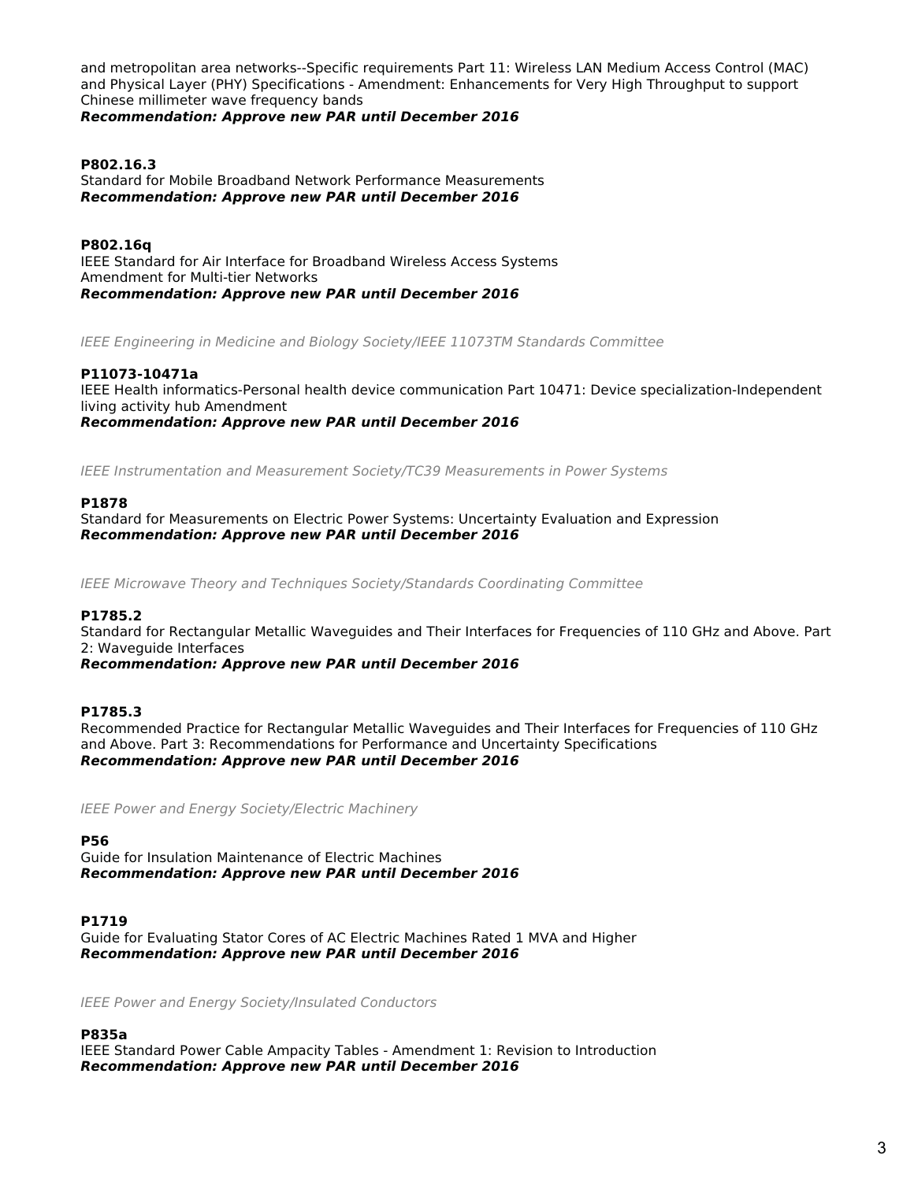and metropolitan area networks--Specific requirements Part 11: Wireless LAN Medium Access Control (MAC) and Physical Layer (PHY) Specifications - Amendment: Enhancements for Very High Throughput to support Chinese millimeter wave frequency bands

*Recommendation: Approve new PAR until December 2016*

#### **P802.16.3** Standard for Mobile Broadband Network Performance Measurements *Recommendation: Approve new PAR until December 2016*

**P802.16q** IEEE Standard for Air Interface for Broadband Wireless Access Systems Amendment for Multi-tier Networks *Recommendation: Approve new PAR until December 2016*

IEEE Engineering in Medicine and Biology Society/IEEE 11073TM Standards Committee

# **P11073-10471a**

IEEE Health informatics-Personal health device communication Part 10471: Device specialization-Independent living activity hub Amendment *Recommendation: Approve new PAR until December 2016*

IEEE Instrumentation and Measurement Society/TC39 Measurements in Power Systems

# **P1878**

Standard for Measurements on Electric Power Systems: Uncertainty Evaluation and Expression *Recommendation: Approve new PAR until December 2016*

IEEE Microwave Theory and Techniques Society/Standards Coordinating Committee

### **P1785.2**

Standard for Rectangular Metallic Waveguides and Their Interfaces for Frequencies of 110 GHz and Above. Part 2: Waveguide Interfaces

*Recommendation: Approve new PAR until December 2016*

### **P1785.3**

Recommended Practice for Rectangular Metallic Waveguides and Their Interfaces for Frequencies of 110 GHz and Above. Part 3: Recommendations for Performance and Uncertainty Specifications *Recommendation: Approve new PAR until December 2016*

IEEE Power and Energy Society/Electric Machinery

**P56**

Guide for Insulation Maintenance of Electric Machines *Recommendation: Approve new PAR until December 2016*

**P1719** Guide for Evaluating Stator Cores of AC Electric Machines Rated 1 MVA and Higher *Recommendation: Approve new PAR until December 2016*

IEEE Power and Energy Society/Insulated Conductors

### **P835a**

IEEE Standard Power Cable Ampacity Tables - Amendment 1: Revision to Introduction *Recommendation: Approve new PAR until December 2016*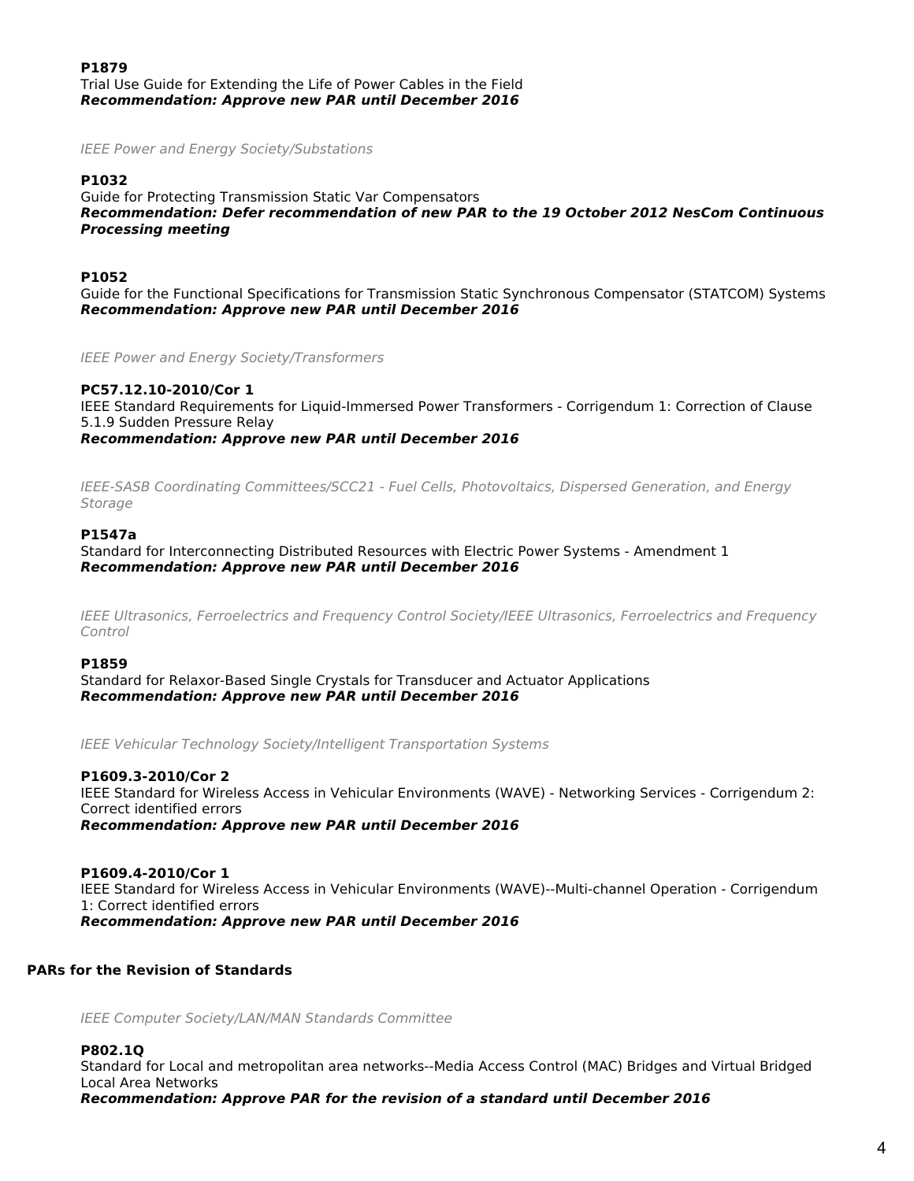**P1879** Trial Use Guide for Extending the Life of Power Cables in the Field *Recommendation: Approve new PAR until December 2016*

IEEE Power and Energy Society/Substations

# **P1032**

Guide for Protecting Transmission Static Var Compensators *Recommendation: Defer recommendation of new PAR to the 19 October 2012 NesCom Continuous Processing meeting*

### **P1052**

Guide for the Functional Specifications for Transmission Static Synchronous Compensator (STATCOM) Systems *Recommendation: Approve new PAR until December 2016*

IEEE Power and Energy Society/Transformers

#### **PC57.12.10-2010/Cor 1** IEEE Standard Requirements for Liquid-Immersed Power Transformers - Corrigendum 1: Correction of Clause 5.1.9 Sudden Pressure Relay *Recommendation: Approve new PAR until December 2016*

IEEE-SASB Coordinating Committees/SCC21 - Fuel Cells, Photovoltaics, Dispersed Generation, and Energy Storage

#### **P1547a**

Standard for Interconnecting Distributed Resources with Electric Power Systems - Amendment 1 *Recommendation: Approve new PAR until December 2016*

IEEE Ultrasonics, Ferroelectrics and Frequency Control Society/IEEE Ultrasonics, Ferroelectrics and Frequency Control

#### **P1859**

Standard for Relaxor-Based Single Crystals for Transducer and Actuator Applications *Recommendation: Approve new PAR until December 2016*

IEEE Vehicular Technology Society/Intelligent Transportation Systems

### **P1609.3-2010/Cor 2**

IEEE Standard for Wireless Access in Vehicular Environments (WAVE) - Networking Services - Corrigendum 2: Correct identified errors

*Recommendation: Approve new PAR until December 2016*

### **P1609.4-2010/Cor 1** IEEE Standard for Wireless Access in Vehicular Environments (WAVE)--Multi-channel Operation - Corrigendum 1: Correct identified errors *Recommendation: Approve new PAR until December 2016*

# **PARs for the Revision of Standards**

IEEE Computer Society/LAN/MAN Standards Committee

#### **P802.1Q**

Standard for Local and metropolitan area networks--Media Access Control (MAC) Bridges and Virtual Bridged Local Area Networks

*Recommendation: Approve PAR for the revision of a standard until December 2016*